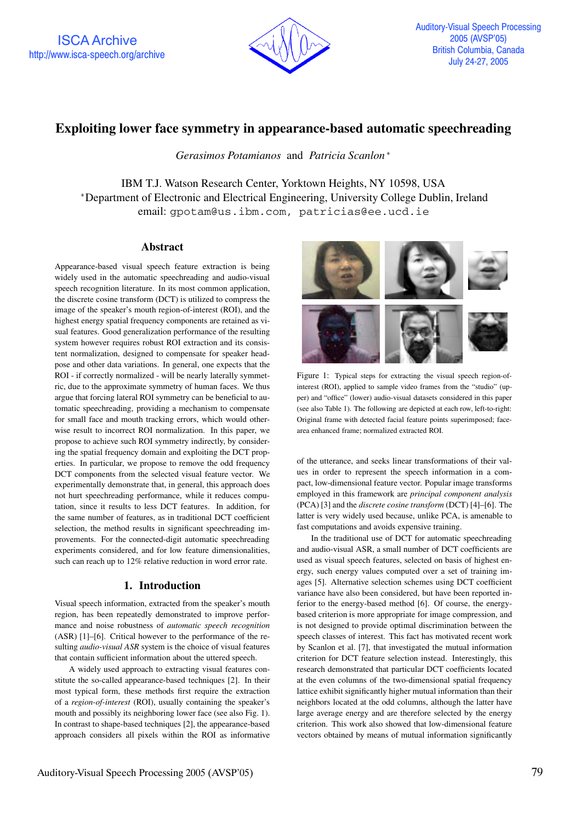ISCA Archive http://www.isca-speech.org/archive



# **Exploiting lower face symmetry in appearance-based automatic speechreading**

*Gerasimos Potamianos* and *Patricia Scanlon*

IBM T.J. Watson Research Center, Yorktown Heights, NY 10598, USA Department of Electronic and Electrical Engineering, University College Dublin, Ireland email: gpotam@us.ibm.com, patricias@ee.ucd.ie

### **Abstract**

Appearance-based visual speech feature extraction is being widely used in the automatic speechreading and audio-visual speech recognition literature. In its most common application, the discrete cosine transform (DCT) is utilized to compress the image of the speaker's mouth region-of-interest (ROI), and the highest energy spatial frequency components are retained as visual features. Good generalization performance of the resulting system however requires robust ROI extraction and its consistent normalization, designed to compensate for speaker headpose and other data variations. In general, one expects that the ROI - if correctly normalized - will be nearly laterally symmetric, due to the approximate symmetry of human faces. We thus argue that forcing lateral ROI symmetry can be beneficial to automatic speechreading, providing a mechanism to compensate for small face and mouth tracking errors, which would otherwise result to incorrect ROI normalization. In this paper, we propose to achieve such ROI symmetry indirectly, by considering the spatial frequency domain and exploiting the DCT properties. In particular, we propose to remove the odd frequency DCT components from the selected visual feature vector. We experimentally demonstrate that, in general, this approach does not hurt speechreading performance, while it reduces computation, since it results to less DCT features. In addition, for the same number of features, as in traditional DCT coefficient selection, the method results in significant speechreading improvements. For the connected-digit automatic speechreading experiments considered, and for low feature dimensionalities, such can reach up to 12% relative reduction in word error rate.

## **1. Introduction**

Visual speech information, extracted from the speaker's mouth region, has been repeatedly demonstrated to improve performance and noise robustness of *automatic speech recognition* (ASR) [1]–[6]. Critical however to the performance of the resulting *audio-visual ASR* system is the choice of visual features that contain sufficient information about the uttered speech.

A widely used approach to extracting visual features constitute the so-called appearance-based techniques [2]. In their most typical form, these methods first require the extraction of a *region-of-interest* (ROI), usually containing the speaker's mouth and possibly its neighboring lower face (see also Fig. 1). In contrast to shape-based techniques [2], the appearance-based approach considers all pixels within the ROI as informative



Figure 1: Typical steps for extracting the visual speech region-ofinterest (ROI), applied to sample video frames from the "studio" (upper) and "office" (lower) audio-visual datasets considered in this paper (see also Table 1). The following are depicted at each row, left-to-right: Original frame with detected facial feature points superimposed; facearea enhanced frame; normalized extracted ROI.

of the utterance, and seeks linear transformations of their values in order to represent the speech information in a compact, low-dimensional feature vector. Popular image transforms employed in this framework are *principal component analysis* (PCA) [3] and the *discrete cosine transform* (DCT) [4]–[6]. The latter is very widely used because, unlike PCA, is amenable to fast computations and avoids expensive training.

In the traditional use of DCT for automatic speechreading and audio-visual ASR, a small number of DCT coefficients are used as visual speech features, selected on basis of highest energy, such energy values computed over a set of training images [5]. Alternative selection schemes using DCT coefficient variance have also been considered, but have been reported inferior to the energy-based method [6]. Of course, the energybased criterion is more appropriate for image compression, and is not designed to provide optimal discrimination between the speech classes of interest. This fact has motivated recent work by Scanlon et al. [7], that investigated the mutual information criterion for DCT feature selection instead. Interestingly, this research demonstrated that particular DCT coefficients located at the even columns of the two-dimensional spatial frequency lattice exhibit significantly higher mutual information than their neighbors located at the odd columns, although the latter have large average energy and are therefore selected by the energy criterion. This work also showed that low-dimensional feature vectors obtained by means of mutual information significantly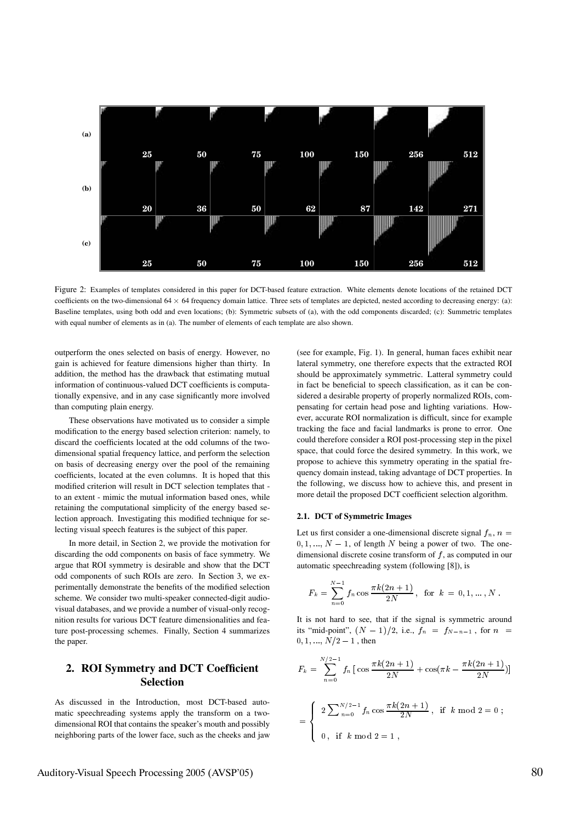

Figure 2: Examples of templates considered in this paper for DCT-based feature extraction. White elements denote locations of the retained DCT coefficients on the two-dimensional  $64 \times 64$  frequency domain lattice. Three sets of templates are depicted, nested according to decreasing energy: (a): Baseline templates, using both odd and even locations; (b): Symmetric subsets of (a), with the odd components discarded; (c): Summetric templates with equal number of elements as in (a). The number of elements of each template are also shown.

outperform the ones selected on basis of energy. However, no gain is achieved for feature dimensions higher than thirty. In addition, the method has the drawback that estimating mutual information of continuous-valued DCT coefficients is computationally expensive, and in any case significantly more involved than computing plain energy.

These observations have motivated us to consider a simple modification to the energy based selection criterion: namely, to discard the coefficients located at the odd columns of the twodimensional spatial frequency lattice, and perform the selection on basis of decreasing energy over the pool of the remaining coefficients, located at the even columns. It is hoped that this modified criterion will result in DCT selection templates that to an extent - mimic the mutual information based ones, while retaining the computational simplicity of the energy based selection approach. Investigating this modified technique for selecting visual speech features is the subject of this paper.

In more detail, in Section 2, we provide the motivation for discarding the odd components on basis of face symmetry. We argue that ROI symmetry is desirable and show that the DCT odd components of such ROIs are zero. In Section 3, we experimentally demonstrate the benefits of the modified selection scheme. We consider two multi-speaker connected-digit audiovisual databases, and we provide a number of visual-only recognition results for various DCT feature dimensionalities and feature post-processing schemes. Finally, Section 4 summarizes the paper.

# **2. ROI Symmetry and DCT Coefficient Selection**

As discussed in the Introduction, most DCT-based automatic speechreading systems apply the transform on a twodimensional ROI that contains the speaker's mouth and possibly neighboring parts of the lower face, such as the cheeks and jaw (see for example, Fig. 1). In general, human faces exhibit near lateral symmetry, one therefore expects that the extracted ROI should be approximately symmetric. Latteral symmetry could in fact be beneficial to speech classification, as it can be considered a desirable property of properly normalized ROIs, compensating for certain head pose and lighting variations. However, accurate ROI normalization is difficult, since for example tracking the face and facial landmarks is prone to error. One could therefore consider a ROI post-processing step in the pixel space, that could force the desired symmetry. In this work, we propose to achieve this symmetry operating in the spatial frequency domain instead, taking advantage of DCT properties. In the following, we discuss how to achieve this, and present in more detail the proposed DCT coefficient selection algorithm.

#### **2.1. DCT of Symmetric Images**

Let us first consider a one-dimensional discrete signal  $f_n$ ,  $n =$  $0, 1, ..., N - 1$ , of length N being a power of two. The onedimensional discrete cosine transform of  $f$ , as computed in our automatic speechreading system (following [8]), is

$$
F_k = \sum_{n=0}^{N-1} f_n \cos \frac{\pi k (2n+1)}{2N}, \text{ for } k = 0, 1, ..., N.
$$

It is not hard to see, that if the signal is symmetric around its "mid-point",  $(N - 1)/2$ , i.e.,  $f_n = f_{N-n-1}$ , for  $n =$  $0, 1, ..., N/2 - 1$ , then

$$
F_k = \sum_{n=0}^{N/2-1} f_n \left[ \cos \frac{\pi k (2n+1)}{2N} + \cos(\pi k - \frac{\pi k (2n+1)}{2N}) \right]
$$
  
= 
$$
\begin{cases} 2 \sum_{n=0}^{N/2-1} f_n \cos \frac{\pi k (2n+1)}{2N}, & \text{if } k \mod 2 = 0; \\ 0, & \text{if } k \mod 2 = 1, \end{cases}
$$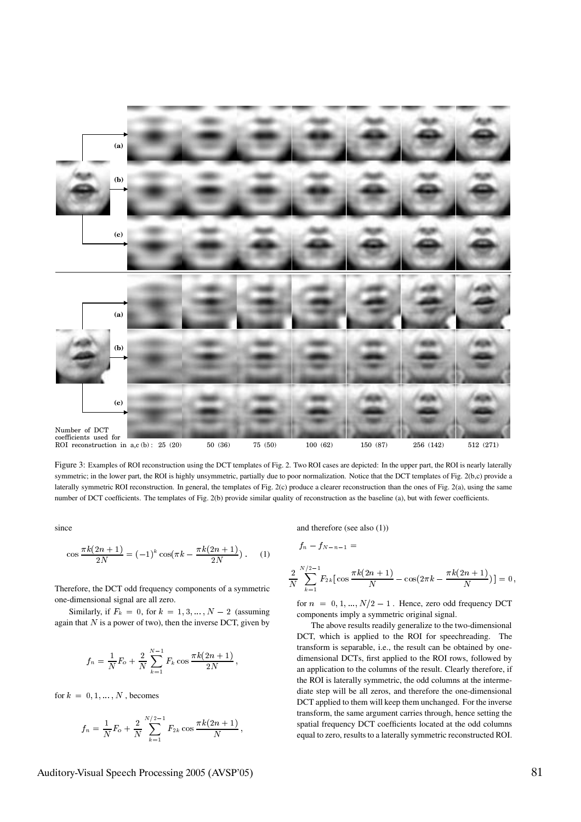

Figure 3: Examples of ROI reconstruction using the DCT templates of Fig. 2. Two ROI cases are depicted: In the upper part, the ROI is nearly laterally symmetric; in the lower part, the ROI is highly unsymmetric, partially due to poor normalization. Notice that the DCT templates of Fig. 2(b,c) provide a laterally symmetric ROI reconstruction. In general, the templates of Fig. 2(c) produce a clearer reconstruction than the ones of Fig. 2(a), using the same number of DCT coefficients. The templates of Fig. 2(b) provide similar quality of reconstruction as the baseline (a), but with fewer coefficients.

since

$$
\cos \frac{\pi k (2n+1)}{2N} = (-1)^k \cos(\pi k - \frac{\pi k (2n+1)}{2N}).
$$
 (1)

Therefore, the DCT odd frequency components of a symmetric one-dimensional signal are all zero.

Similarly, if  $F_k = 0$ , for  $k = 1, 3, ..., N - 2$  (assuming again that  $N$  is a power of two), then the inverse DCT, given by

$$
f_n = \frac{1}{N} F_o + \frac{2}{N} \sum_{k=1}^{N-1} F_k \cos \frac{\pi k (2n+1)}{2N},
$$

for  $k = 0, 1, ..., N$ , becomes

$$
f_n = \frac{1}{N} F_o + \frac{2}{N} \sum_{k=1}^{N/2-1} F_{2k} \cos \frac{\pi k (2n+1)}{N},
$$

and therefore (see also (1))

$$
f_n - f_{N-n-1} =
$$
  

$$
\frac{2}{N} \sum_{k=1}^{N/2-1} F_{2k} [\cos \frac{\pi k (2n+1)}{N} - \cos(2\pi k - \frac{\pi k (2n+1)}{N})] = 0,
$$

for  $n = 0, 1, ..., N/2 - 1$ . Hence, zero odd frequency DCT components imply a symmetric original signal.

The above results readily generalize to the two-dimensional DCT, which is applied to the ROI for speechreading. The transform is separable, i.e., the result can be obtained by onedimensional DCTs, first applied to the ROI rows, followed by an application to the columns of the result. Clearly therefore, if the ROI is laterally symmetric, the odd columns at the intermediate step will be all zeros, and therefore the one-dimensional DCT applied to them will keep them unchanged. For the inverse transform, the same argument carries through, hence setting the spatial frequency DCT coefficients located at the odd columns equal to zero, results to a laterally symmetric reconstructed ROI.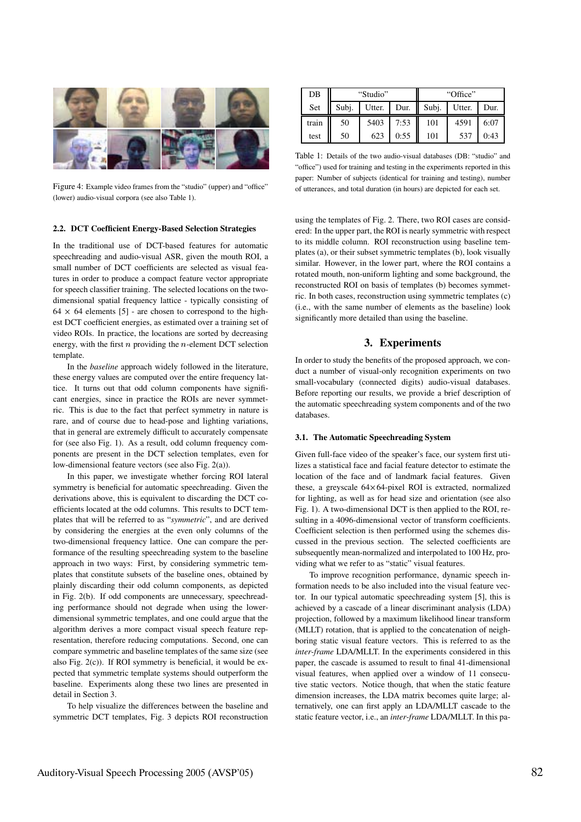

Figure 4: Example video frames from the "studio" (upper) and "office" (lower) audio-visual corpora (see also Table 1).

#### **2.2. DCT Coefficient Energy-Based Selection Strategies**

In the traditional use of DCT-based features for automatic speechreading and audio-visual ASR, given the mouth ROI, a small number of DCT coefficients are selected as visual features in order to produce a compact feature vector appropriate for speech classifier training. The selected locations on the twodimensional spatial frequency lattice - typically consisting of  $64 \times 64$  elements [5] - are chosen to correspond to the highest DCT coefficient energies, as estimated over a training set of video ROIs. In practice, the locations are sorted by decreasing energy, with the first  $n$  providing the  $n$ -element DCT selection template.

In the *baseline* approach widely followed in the literature, these energy values are computed over the entire frequency lattice. It turns out that odd column components have significant energies, since in practice the ROIs are never symmetric. This is due to the fact that perfect symmetry in nature is rare, and of course due to head-pose and lighting variations, that in general are extremely difficult to accurately compensate for (see also Fig. 1). As a result, odd column frequency components are present in the DCT selection templates, even for low-dimensional feature vectors (see also Fig. 2(a)).

In this paper, we investigate whether forcing ROI lateral symmetry is beneficial for automatic speechreading. Given the derivations above, this is equivalent to discarding the DCT coefficients located at the odd columns. This results to DCT templates that will be referred to as "*symmetric*", and are derived by considering the energies at the even only columns of the two-dimensional frequency lattice. One can compare the performance of the resulting speechreading system to the baseline approach in two ways: First, by considering symmetric templates that constitute subsets of the baseline ones, obtained by plainly discarding their odd column components, as depicted in Fig. 2(b). If odd components are unnecessary, speechreading performance should not degrade when using the lowerdimensional symmetric templates, and one could argue that the algorithm derives a more compact visual speech feature representation, therefore reducing computations. Second, one can compare symmetric and baseline templates of the same size (see also Fig. 2(c)). If ROI symmetry is beneficial, it would be expected that symmetric template systems should outperform the baseline. Experiments along these two lines are presented in detail in Section 3.

To help visualize the differences between the baseline and symmetric DCT templates, Fig. 3 depicts ROI reconstruction

| DB    |       | "Studio" |      | "Office" |        |      |  |  |
|-------|-------|----------|------|----------|--------|------|--|--|
| Set   | Subj. | Utter.   | Dur. | Subj.    | Utter. | Dur. |  |  |
| train | 50    | 5403     | 7:53 | 101      | 4591   | 6:07 |  |  |
| test  | 50    | 623      | 0:55 | 101      | 537    | 0:43 |  |  |

Table 1: Details of the two audio-visual databases (DB: "studio" and "office") used for training and testing in the experiments reported in this paper: Number of subjects (identical for training and testing), number of utterances, and total duration (in hours) are depicted for each set.

using the templates of Fig. 2. There, two ROI cases are considered: In the upper part, the ROI is nearly symmetric with respect to its middle column. ROI reconstruction using baseline templates (a), or their subset symmetric templates (b), look visually similar. However, in the lower part, where the ROI contains a rotated mouth, non-uniform lighting and some background, the reconstructed ROI on basis of templates (b) becomes symmetric. In both cases, reconstruction using symmetric templates (c) (i.e., with the same number of elements as the baseline) look significantly more detailed than using the baseline.

## **3. Experiments**

In order to study the benefits of the proposed approach, we conduct a number of visual-only recognition experiments on two small-vocabulary (connected digits) audio-visual databases. Before reporting our results, we provide a brief description of the automatic speechreading system components and of the two databases.

#### **3.1. The Automatic Speechreading System**

Given full-face video of the speaker's face, our system first utilizes a statistical face and facial feature detector to estimate the location of the face and of landmark facial features. Given these, a greyscale  $64 \times 64$ -pixel ROI is extracted, normalized for lighting, as well as for head size and orientation (see also Fig. 1). A two-dimensional DCT is then applied to the ROI, resulting in a 4096-dimensional vector of transform coefficients. Coefficient selection is then performed using the schemes discussed in the previous section. The selected coefficients are subsequently mean-normalized and interpolated to 100 Hz, providing what we refer to as "static" visual features.

To improve recognition performance, dynamic speech information needs to be also included into the visual feature vector. In our typical automatic speechreading system [5], this is achieved by a cascade of a linear discriminant analysis (LDA) projection, followed by a maximum likelihood linear transform (MLLT) rotation, that is applied to the concatenation of neighboring static visual feature vectors. This is referred to as the *inter-frame* LDA/MLLT. In the experiments considered in this paper, the cascade is assumed to result to final 41-dimensional visual features, when applied over a window of 11 consecutive static vectors. Notice though, that when the static feature dimension increases, the LDA matrix becomes quite large; alternatively, one can first apply an LDA/MLLT cascade to the static feature vector, i.e., an *inter-frame* LDA/MLLT. In this pa-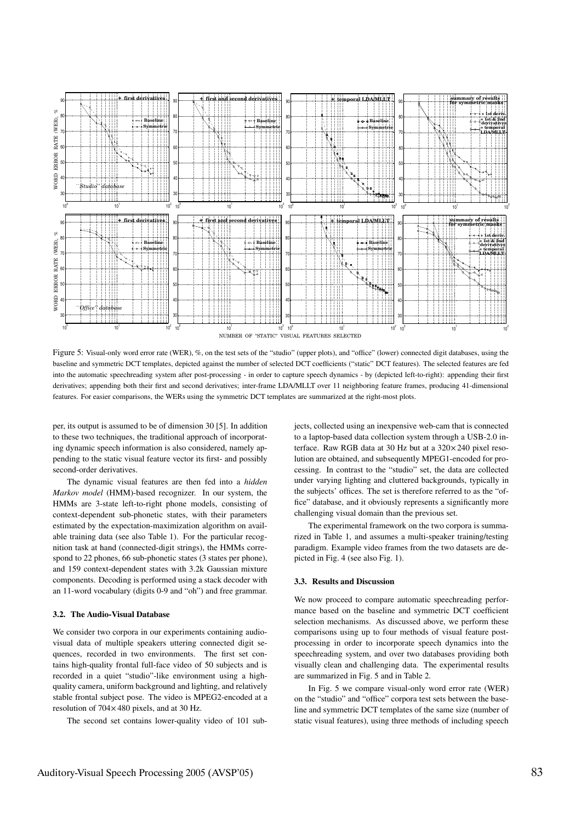

Figure 5: Visual-only word error rate (WER), %, on the test sets of the "studio" (upper plots), and "office" (lower) connected digit databases, using the baseline and symmetric DCT templates, depicted against the number of selected DCT coefficients ("static" DCT features). The selected features are fed into the automatic speechreading system after post-processing - in order to capture speech dynamics - by (depicted left-to-right): appending their first derivatives; appending both their first and second derivatives; inter-frame LDA/MLLT over 11 neighboring feature frames, producing 41-dimensional features. For easier comparisons, the WERs using the symmetric DCT templates are summarized at the right-most plots.

per, its output is assumed to be of dimension 30 [5]. In addition to these two techniques, the traditional approach of incorporating dynamic speech information is also considered, namely appending to the static visual feature vector its first- and possibly second-order derivatives.

The dynamic visual features are then fed into a *hidden Markov model* (HMM)-based recognizer. In our system, the HMMs are 3-state left-to-right phone models, consisting of context-dependent sub-phonetic states, with their parameters estimated by the expectation-maximization algorithm on available training data (see also Table 1). For the particular recognition task at hand (connected-digit strings), the HMMs correspond to 22 phones, 66 sub-phonetic states (3 states per phone), and 159 context-dependent states with 3.2k Gaussian mixture components. Decoding is performed using a stack decoder with an 11-word vocabulary (digits 0-9 and "oh") and free grammar.

### **3.2. The Audio-Visual Database**

We consider two corpora in our experiments containing audiovisual data of multiple speakers uttering connected digit sequences, recorded in two environments. The first set contains high-quality frontal full-face video of 50 subjects and is recorded in a quiet "studio"-like environment using a highquality camera, uniform background and lighting, and relatively stable frontal subject pose. The video is MPEG2-encoded at a resolution of  $704 \times 480$  pixels, and at 30 Hz.

The second set contains lower-quality video of 101 sub-

jects, collected using an inexpensive web-cam that is connected to a laptop-based data collection system through a USB-2.0 interface. Raw RGB data at 30 Hz but at a  $320 \times 240$  pixel resolution are obtained, and subsequently MPEG1-encoded for processing. In contrast to the "studio" set, the data are collected under varying lighting and cluttered backgrounds, typically in the subjects' offices. The set is therefore referred to as the "office" database, and it obviously represents a significantly more challenging visual domain than the previous set.

The experimental framework on the two corpora is summarized in Table 1, and assumes a multi-speaker training/testing paradigm. Example video frames from the two datasets are depicted in Fig. 4 (see also Fig. 1).

### **3.3. Results and Discussion**

We now proceed to compare automatic speechreading performance based on the baseline and symmetric DCT coefficient selection mechanisms. As discussed above, we perform these comparisons using up to four methods of visual feature postprocessing in order to incorporate speech dynamics into the speechreading system, and over two databases providing both visually clean and challenging data. The experimental results are summarized in Fig. 5 and in Table 2.

In Fig. 5 we compare visual-only word error rate (WER) on the "studio" and "office" corpora test sets between the baseline and symmetric DCT templates of the same size (number of static visual features), using three methods of including speech